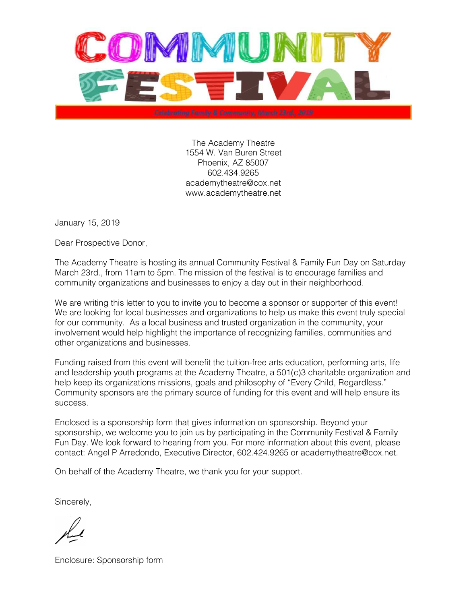

The Academy Theatre 1554 W. Van Buren Street Phoenix, AZ 85007 602.434.9265 academytheatre@cox.net www.academytheatre.net

January 15, 2019

Dear Prospective Donor,

The Academy Theatre is hosting its annual Community Festival & Family Fun Day on Saturday March 23rd., from 11am to 5pm. The mission of the festival is to encourage families and community organizations and businesses to enjoy a day out in their neighborhood.

We are writing this letter to you to invite you to become a sponsor or supporter of this event! We are looking for local businesses and organizations to help us make this event truly special for our community. As a local business and trusted organization in the community, your involvement would help highlight the importance of recognizing families, communities and other organizations and businesses.

Funding raised from this event will benefit the tuition-free arts education, performing arts, life and leadership youth programs at the Academy Theatre, a 501(c)3 charitable organization and help keep its organizations missions, goals and philosophy of "Every Child, Regardless." Community sponsors are the primary source of funding for this event and will help ensure its success.

Enclosed is a sponsorship form that gives information on sponsorship. Beyond your sponsorship, we welcome you to join us by participating in the Community Festival & Family Fun Day. We look forward to hearing from you. For more information about this event, please contact: Angel P Arredondo, Executive Director, 602.424.9265 or academytheatre@cox.net.

On behalf of the Academy Theatre, we thank you for your support.

Sincerely,

Enclosure: Sponsorship form